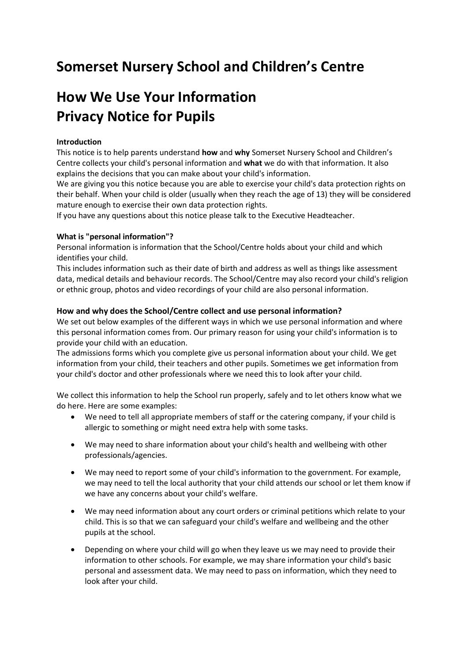## **Somerset Nursery School and Children's Centre**

# **How We Use Your Information Privacy Notice for Pupils**

## **Introduction**

This notice is to help parents understand **how** and **why** Somerset Nursery School and Children's Centre collects your child's personal information and **what** we do with that information. It also explains the decisions that you can make about your child's information.

We are giving you this notice because you are able to exercise your child's data protection rights on their behalf. When your child is older (usually when they reach the age of 13) they will be considered mature enough to exercise their own data protection rights.

If you have any questions about this notice please talk to the Executive Headteacher.

## **What is "personal information"?**

Personal information is information that the School/Centre holds about your child and which identifies your child.

This includes information such as their date of birth and address as well as things like assessment data, medical details and behaviour records. The School/Centre may also record your child's religion or ethnic group, photos and video recordings of your child are also personal information.

## **How and why does the School/Centre collect and use personal information?**

We set out below examples of the different ways in which we use personal information and where this personal information comes from. Our primary reason for using your child's information is to provide your child with an education.

The admissions forms which you complete give us personal information about your child. We get information from your child, their teachers and other pupils. Sometimes we get information from your child's doctor and other professionals where we need this to look after your child.

We collect this information to help the School run properly, safely and to let others know what we do here. Here are some examples:

- We need to tell all appropriate members of staff or the catering company, if your child is allergic to something or might need extra help with some tasks.
- We may need to share information about your child's health and wellbeing with other professionals/agencies.
- We may need to report some of your child's information to the government. For example, we may need to tell the local authority that your child attends our school or let them know if we have any concerns about your child's welfare.
- We may need information about any court orders or criminal petitions which relate to your child. This is so that we can safeguard your child's welfare and wellbeing and the other pupils at the school.
- Depending on where your child will go when they leave us we may need to provide their information to other schools. For example, we may share information your child's basic personal and assessment data. We may need to pass on information, which they need to look after your child.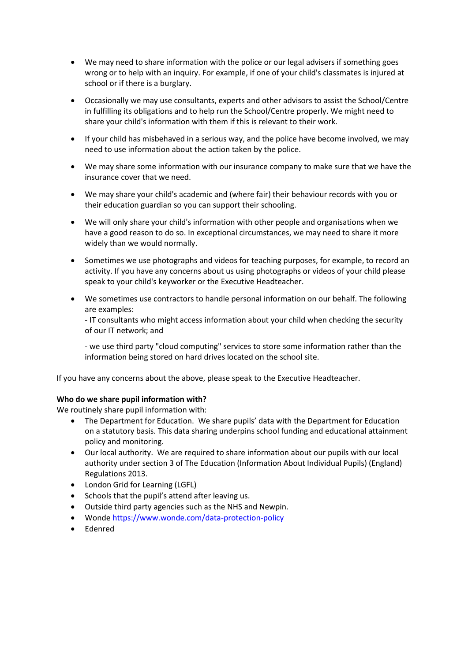- We may need to share information with the police or our legal advisers if something goes wrong or to help with an inquiry. For example, if one of your child's classmates is injured at school or if there is a burglary.
- Occasionally we may use consultants, experts and other advisors to assist the School/Centre in fulfilling its obligations and to help run the School/Centre properly. We might need to share your child's information with them if this is relevant to their work.
- If your child has misbehaved in a serious way, and the police have become involved, we may need to use information about the action taken by the police.
- We may share some information with our insurance company to make sure that we have the insurance cover that we need.
- We may share your child's academic and (where fair) their behaviour records with you or their education guardian so you can support their schooling.
- We will only share your child's information with other people and organisations when we have a good reason to do so. In exceptional circumstances, we may need to share it more widely than we would normally.
- Sometimes we use photographs and videos for teaching purposes, for example, to record an activity. If you have any concerns about us using photographs or videos of your child please speak to your child's keyworker or the Executive Headteacher.
- We sometimes use contractors to handle personal information on our behalf. The following are examples:

- IT consultants who might access information about your child when checking the security of our IT network; and

- we use third party "cloud computing" services to store some information rather than the information being stored on hard drives located on the school site.

If you have any concerns about the above, please speak to the Executive Headteacher.

#### **Who do we share pupil information with?**

We routinely share pupil information with:

- The Department for Education. We share pupils' data with the Department for Education on a statutory basis. This data sharing underpins school funding and educational attainment policy and monitoring.
- Our local authority. We are required to share information about our pupils with our local authority under section 3 of The Education (Information About Individual Pupils) (England) Regulations 2013.
- London Grid for Learning (LGFL)
- Schools that the pupil's attend after leaving us.
- Outside third party agencies such as the NHS and Newpin.
- Wonde<https://www.wonde.com/data-protection-policy>
- Edenred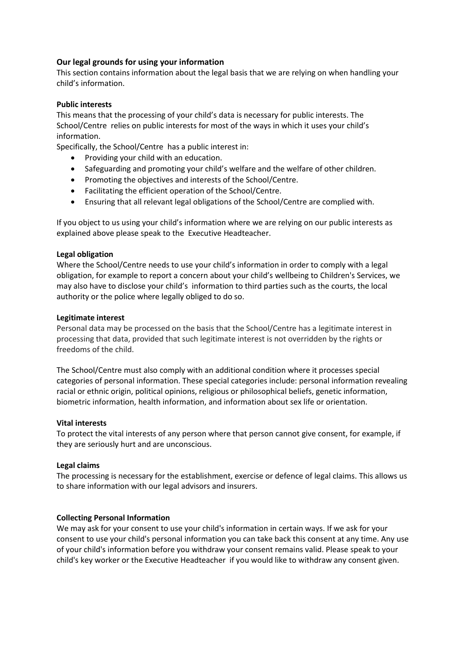## **Our legal grounds for using your information**

This section contains information about the legal basis that we are relying on when handling your child's information.

#### **Public interests**

This means that the processing of your child's data is necessary for public interests. The School/Centre relies on public interests for most of the ways in which it uses your child's information.

Specifically, the School/Centre has a public interest in:

- Providing your child with an education.
- Safeguarding and promoting your child's welfare and the welfare of other children.
- Promoting the objectives and interests of the School/Centre.
- Facilitating the efficient operation of the School/Centre.
- Ensuring that all relevant legal obligations of the School/Centre are complied with.

If you object to us using your child's information where we are relying on our public interests as explained above please speak to the Executive Headteacher.

#### **Legal obligation**

Where the School/Centre needs to use your child's information in order to comply with a legal obligation, for example to report a concern about your child's wellbeing to Children's Services, we may also have to disclose your child's information to third parties such as the courts, the local authority or the police where legally obliged to do so.

#### **Legitimate interest**

Personal data may be processed on the basis that the School/Centre has a legitimate interest in processing that data, provided that such legitimate interest is not overridden by the rights or freedoms of the child.

The School/Centre must also comply with an additional condition where it processes special categories of personal information. These special categories include: personal information revealing racial or ethnic origin, political opinions, religious or philosophical beliefs, genetic information, biometric information, health information, and information about sex life or orientation.

#### **Vital interests**

To protect the vital interests of any person where that person cannot give consent, for example, if they are seriously hurt and are unconscious.

#### **Legal claims**

The processing is necessary for the establishment, exercise or defence of legal claims. This allows us to share information with our legal advisors and insurers.

#### **Collecting Personal Information**

We may ask for your consent to use your child's information in certain ways. If we ask for your consent to use your child's personal information you can take back this consent at any time. Any use of your child's information before you withdraw your consent remains valid. Please speak to your child's key worker or the Executive Headteacher if you would like to withdraw any consent given.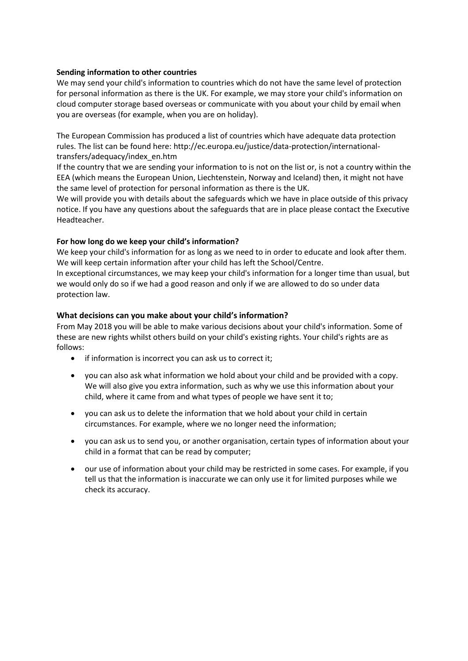## **Sending information to other countries**

We may send your child's information to countries which do not have the same level of protection for personal information as there is the UK. For example, we may store your child's information on cloud computer storage based overseas or communicate with you about your child by email when you are overseas (for example, when you are on holiday).

The European Commission has produced a list of countries which have adequate data protection rules. The list can be found here: http://ec.europa.eu/justice/data-protection/internationaltransfers/adequacy/index\_en.htm

If the country that we are sending your information to is not on the list or, is not a country within the EEA (which means the European Union, Liechtenstein, Norway and Iceland) then, it might not have the same level of protection for personal information as there is the UK.

We will provide you with details about the safeguards which we have in place outside of this privacy notice. If you have any questions about the safeguards that are in place please contact the Executive Headteacher.

## **For how long do we keep your child's information?**

We keep your child's information for as long as we need to in order to educate and look after them. We will keep certain information after your child has left the School/Centre.

In exceptional circumstances, we may keep your child's information for a longer time than usual, but we would only do so if we had a good reason and only if we are allowed to do so under data protection law.

## **What decisions can you make about your child's information?**

From May 2018 you will be able to make various decisions about your child's information. Some of these are new rights whilst others build on your child's existing rights. Your child's rights are as follows:

- if information is incorrect you can ask us to correct it;
- you can also ask what information we hold about your child and be provided with a copy. We will also give you extra information, such as why we use this information about your child, where it came from and what types of people we have sent it to;
- you can ask us to delete the information that we hold about your child in certain circumstances. For example, where we no longer need the information;
- you can ask us to send you, or another organisation, certain types of information about your child in a format that can be read by computer;
- our use of information about your child may be restricted in some cases. For example, if you tell us that the information is inaccurate we can only use it for limited purposes while we check its accuracy.